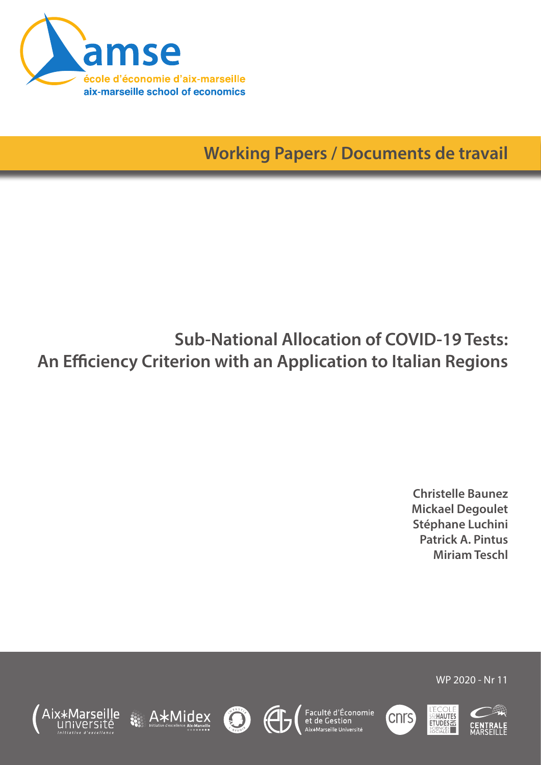

**Working Papers / Documents de travail**

# **Sub-National Allocation of COVID-19 Tests: An Efficiency Criterion with an Application to Italian Regions**

**Christelle Baunez Mickael Degoulet Stéphane Luchini Patrick A. Pintus Miriam Teschl**













WP 2020 - Nr 11

**HAUTES**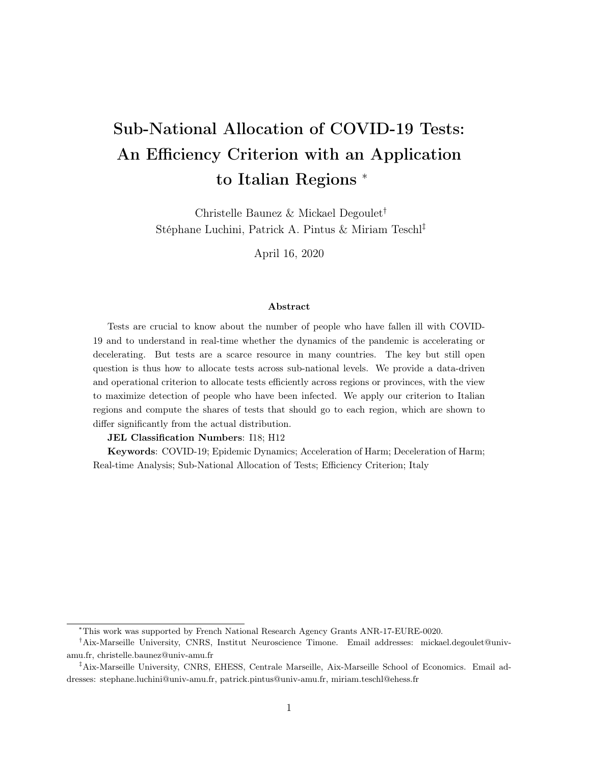# Sub-National Allocation of COVID-19 Tests: An Efficiency Criterion with an Application to Italian Regions <sup>∗</sup>

Christelle Baunez & Mickael Degoulet† Stéphane Luchini, Patrick A. Pintus & Miriam Teschl‡

April 16, 2020

#### Abstract

Tests are crucial to know about the number of people who have fallen ill with COVID-19 and to understand in real-time whether the dynamics of the pandemic is accelerating or decelerating. But tests are a scarce resource in many countries. The key but still open question is thus how to allocate tests across sub-national levels. We provide a data-driven and operational criterion to allocate tests efficiently across regions or provinces, with the view to maximize detection of people who have been infected. We apply our criterion to Italian regions and compute the shares of tests that should go to each region, which are shown to differ significantly from the actual distribution.

#### JEL Classification Numbers: I18; H12

Keywords: COVID-19; Epidemic Dynamics; Acceleration of Harm; Deceleration of Harm; Real-time Analysis; Sub-National Allocation of Tests; Efficiency Criterion; Italy

<sup>∗</sup>This work was supported by French National Research Agency Grants ANR-17-EURE-0020.

<sup>†</sup>Aix-Marseille University, CNRS, Institut Neuroscience Timone. Email addresses: mickael.degoulet@univamu.fr, christelle.baunez@univ-amu.fr

<sup>‡</sup>Aix-Marseille University, CNRS, EHESS, Centrale Marseille, Aix-Marseille School of Economics. Email addresses: stephane.luchini@univ-amu.fr, patrick.pintus@univ-amu.fr, miriam.teschl@ehess.fr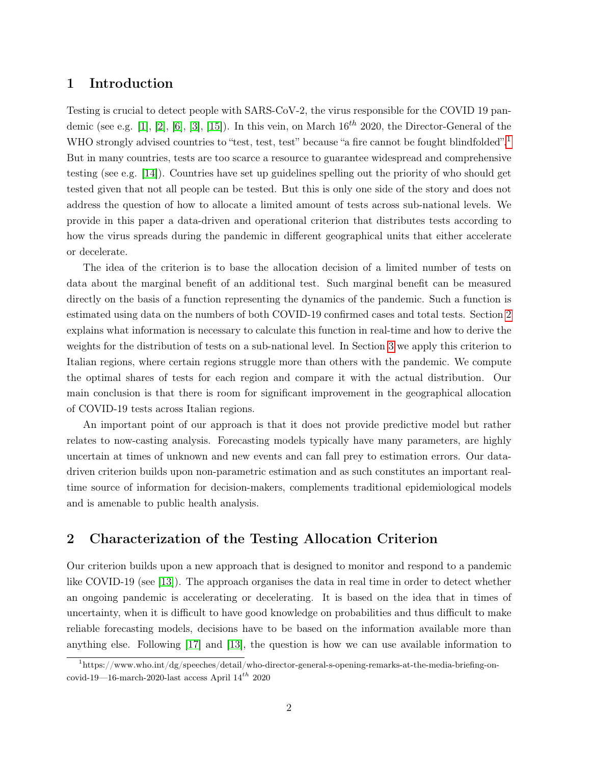### 1 Introduction

Testing is crucial to detect people with SARS-CoV-2, the virus responsible for the COVID 19 pan-demic (see e.g. [\[1\]](#page-9-0), [\[2\]](#page-9-1), [\[6\]](#page-9-2), [\[3\]](#page-9-3), [\[15\]](#page-10-0)). In this vein, on March  $16^{th}$  2020, the Director-General of the WHO strongly advised countries to "test, test, test" because "a fire cannot be fought blindfolded".<sup>[1](#page-2-0)</sup> But in many countries, tests are too scarce a resource to guarantee widespread and comprehensive testing (see e.g. [\[14\]](#page-10-1)). Countries have set up guidelines spelling out the priority of who should get tested given that not all people can be tested. But this is only one side of the story and does not address the question of how to allocate a limited amount of tests across sub-national levels. We provide in this paper a data-driven and operational criterion that distributes tests according to how the virus spreads during the pandemic in different geographical units that either accelerate or decelerate.

The idea of the criterion is to base the allocation decision of a limited number of tests on data about the marginal benefit of an additional test. Such marginal benefit can be measured directly on the basis of a function representing the dynamics of the pandemic. Such a function is estimated using data on the numbers of both COVID-19 confirmed cases and total tests. Section [2](#page-2-1) explains what information is necessary to calculate this function in real-time and how to derive the weights for the distribution of tests on a sub-national level. In Section [3](#page-5-0) we apply this criterion to Italian regions, where certain regions struggle more than others with the pandemic. We compute the optimal shares of tests for each region and compare it with the actual distribution. Our main conclusion is that there is room for significant improvement in the geographical allocation of COVID-19 tests across Italian regions.

An important point of our approach is that it does not provide predictive model but rather relates to now-casting analysis. Forecasting models typically have many parameters, are highly uncertain at times of unknown and new events and can fall prey to estimation errors. Our datadriven criterion builds upon non-parametric estimation and as such constitutes an important realtime source of information for decision-makers, complements traditional epidemiological models and is amenable to public health analysis.

# <span id="page-2-1"></span>2 Characterization of the Testing Allocation Criterion

Our criterion builds upon a new approach that is designed to monitor and respond to a pandemic like COVID-19 (see [\[13\]](#page-10-2)). The approach organises the data in real time in order to detect whether an ongoing pandemic is accelerating or decelerating. It is based on the idea that in times of uncertainty, when it is difficult to have good knowledge on probabilities and thus difficult to make reliable forecasting models, decisions have to be based on the information available more than anything else. Following [\[17\]](#page-10-3) and [\[13\]](#page-10-2), the question is how we can use available information to

<span id="page-2-0"></span><sup>1</sup>https://www.who.int/dg/speeches/detail/who-director-general-s-opening-remarks-at-the-media-briefing-oncovid-19—16-march-2020-last access April  $14^{th}$  2020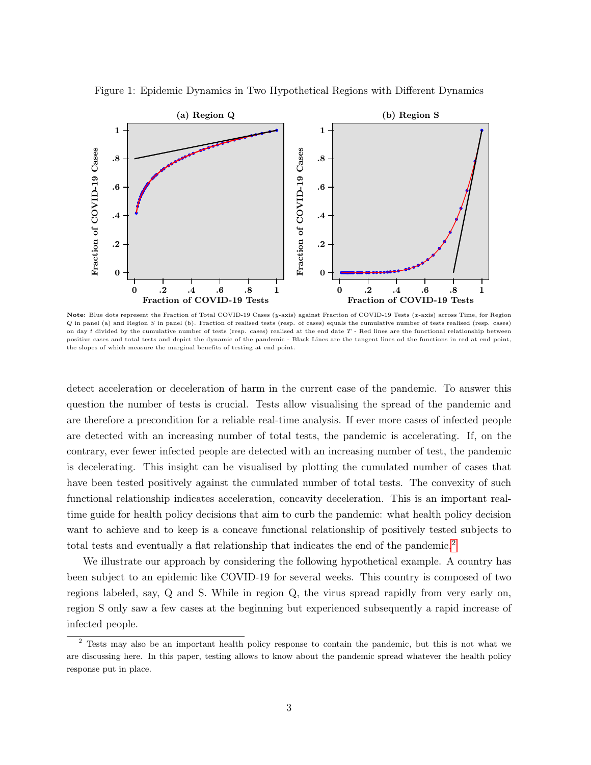

<span id="page-3-1"></span>Figure 1: Epidemic Dynamics in Two Hypothetical Regions with Different Dynamics

Note: Blue dots represent the Fraction of Total COVID-19 Cases (y-axis) against Fraction of COVID-19 Tests (x-axis) across Time, for Region Q in panel (a) and Region S in panel (b). Fraction of realised tests (resp. of cases) equals the cumulative number of tests realised (resp. cases) on day  $t$  divided by the cumulative number of tests (resp. cases) realised at the end date  $T$  - Red lines are the functional relationship between positive cases and total tests and depict the dynamic of the pandemic - Black Lines are the tangent lines od the functions in red at end point, the slopes of which measure the marginal benefits of testing at end point.

detect acceleration or deceleration of harm in the current case of the pandemic. To answer this question the number of tests is crucial. Tests allow visualising the spread of the pandemic and are therefore a precondition for a reliable real-time analysis. If ever more cases of infected people are detected with an increasing number of total tests, the pandemic is accelerating. If, on the contrary, ever fewer infected people are detected with an increasing number of test, the pandemic is decelerating. This insight can be visualised by plotting the cumulated number of cases that have been tested positively against the cumulated number of total tests. The convexity of such functional relationship indicates acceleration, concavity deceleration. This is an important realtime guide for health policy decisions that aim to curb the pandemic: what health policy decision want to achieve and to keep is a concave functional relationship of positively tested subjects to total tests and eventually a flat relationship that indicates the end of the pandemic.<sup>[2](#page-3-0)</sup>

We illustrate our approach by considering the following hypothetical example. A country has been subject to an epidemic like COVID-19 for several weeks. This country is composed of two regions labeled, say, Q and S. While in region Q, the virus spread rapidly from very early on, region S only saw a few cases at the beginning but experienced subsequently a rapid increase of infected people.

<span id="page-3-0"></span><sup>2</sup> Tests may also be an important health policy response to contain the pandemic, but this is not what we are discussing here. In this paper, testing allows to know about the pandemic spread whatever the health policy response put in place.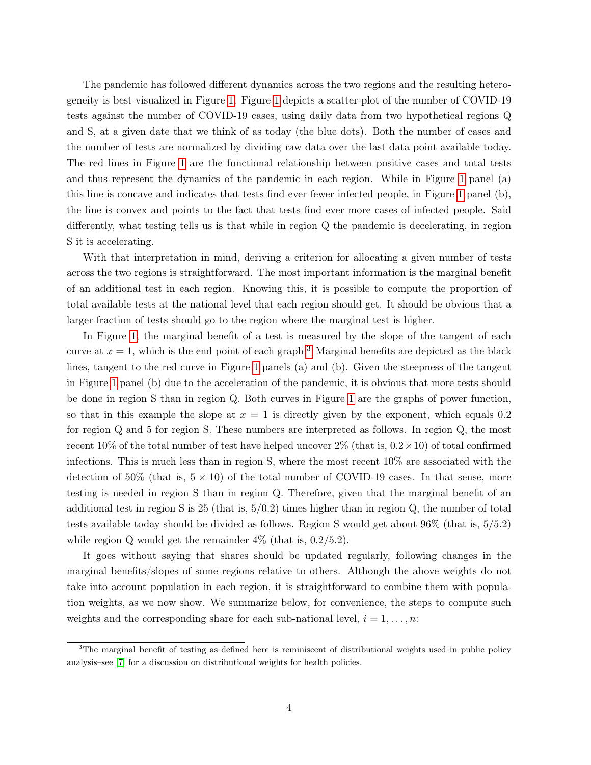The pandemic has followed different dynamics across the two regions and the resulting heterogeneity is best visualized in Figure [1.](#page-3-1) Figure [1](#page-3-1) depicts a scatter-plot of the number of COVID-19 tests against the number of COVID-19 cases, using daily data from two hypothetical regions Q and S, at a given date that we think of as today (the blue dots). Both the number of cases and the number of tests are normalized by dividing raw data over the last data point available today. The red lines in Figure [1](#page-3-1) are the functional relationship between positive cases and total tests and thus represent the dynamics of the pandemic in each region. While in Figure [1](#page-3-1) panel (a) this line is concave and indicates that tests find ever fewer infected people, in Figure [1](#page-3-1) panel (b), the line is convex and points to the fact that tests find ever more cases of infected people. Said differently, what testing tells us is that while in region Q the pandemic is decelerating, in region S it is accelerating.

With that interpretation in mind, deriving a criterion for allocating a given number of tests across the two regions is straightforward. The most important information is the marginal benefit of an additional test in each region. Knowing this, it is possible to compute the proportion of total available tests at the national level that each region should get. It should be obvious that a larger fraction of tests should go to the region where the marginal test is higher.

In Figure [1,](#page-3-1) the marginal benefit of a test is measured by the slope of the tangent of each curve at  $x = 1$ , which is the end point of each graph.<sup>[3](#page-4-0)</sup> Marginal benefits are depicted as the black lines, tangent to the red curve in Figure [1](#page-3-1) panels (a) and (b). Given the steepness of the tangent in Figure [1](#page-3-1) panel (b) due to the acceleration of the pandemic, it is obvious that more tests should be done in region S than in region Q. Both curves in Figure [1](#page-3-1) are the graphs of power function, so that in this example the slope at  $x = 1$  is directly given by the exponent, which equals 0.2 for region Q and 5 for region S. These numbers are interpreted as follows. In region Q, the most recent 10% of the total number of test have helped uncover  $2\%$  (that is,  $0.2 \times 10$ ) of total confirmed infections. This is much less than in region S, where the most recent 10% are associated with the detection of 50% (that is,  $5 \times 10$ ) of the total number of COVID-19 cases. In that sense, more testing is needed in region S than in region Q. Therefore, given that the marginal benefit of an additional test in region S is 25 (that is,  $5/0.2$ ) times higher than in region Q, the number of total tests available today should be divided as follows. Region S would get about 96% (that is, 5/5.2) while region Q would get the remainder  $4\%$  (that is,  $0.2/5.2$ ).

It goes without saying that shares should be updated regularly, following changes in the marginal benefits/slopes of some regions relative to others. Although the above weights do not take into account population in each region, it is straightforward to combine them with population weights, as we now show. We summarize below, for convenience, the steps to compute such weights and the corresponding share for each sub-national level,  $i = 1, \ldots, n$ :

<span id="page-4-0"></span><sup>&</sup>lt;sup>3</sup>The marginal benefit of testing as defined here is reminiscent of distributional weights used in public policy analysis–see [\[7\]](#page-9-4) for a discussion on distributional weights for health policies.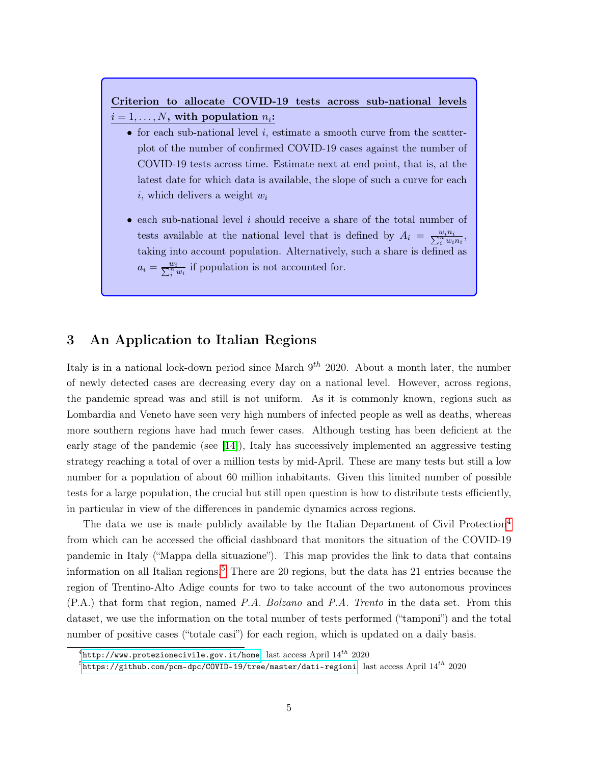# Criterion to allocate COVID-19 tests across sub-national levels  $i = 1, \ldots, N$ , with population  $n_i$ :

- for each sub-national level  $i$ , estimate a smooth curve from the scatterplot of the number of confirmed COVID-19 cases against the number of COVID-19 tests across time. Estimate next at end point, that is, at the latest date for which data is available, the slope of such a curve for each i, which delivers a weight  $w_i$
- each sub-national level i should receive a share of the total number of tests available at the national level that is defined by  $A_i = \frac{w_i n_i}{\sum_i^n w_i n_i}$ , taking into account population. Alternatively, such a share is defined as  $a_i = \frac{w_i}{\sum_i^n w_i}$  if population is not accounted for.

## <span id="page-5-0"></span>3 An Application to Italian Regions

Italy is in a national lock-down period since March  $9^{th}$  2020. About a month later, the number of newly detected cases are decreasing every day on a national level. However, across regions, the pandemic spread was and still is not uniform. As it is commonly known, regions such as Lombardia and Veneto have seen very high numbers of infected people as well as deaths, whereas more southern regions have had much fewer cases. Although testing has been deficient at the early stage of the pandemic (see [\[14\]](#page-10-1)), Italy has successively implemented an aggressive testing strategy reaching a total of over a million tests by mid-April. These are many tests but still a low number for a population of about 60 million inhabitants. Given this limited number of possible tests for a large population, the crucial but still open question is how to distribute tests efficiently, in particular in view of the differences in pandemic dynamics across regions.

The data we use is made publicly available by the Italian Department of Civil Protection<sup>[4](#page-5-1)</sup> from which can be accessed the official dashboard that monitors the situation of the COVID-19 pandemic in Italy ("Mappa della situazione"). This map provides the link to data that contains information on all Italian regions.[5](#page-5-2) There are 20 regions, but the data has 21 entries because the region of Trentino-Alto Adige counts for two to take account of the two autonomous provinces (P.A.) that form that region, named P.A. Bolzano and P.A. Trento in the data set. From this dataset, we use the information on the total number of tests performed ("tamponi") and the total number of positive cases ("totale casi") for each region, which is updated on a daily basis.

<span id="page-5-1"></span> $^4$ <http://www.protezionecivile.gov.it/home>: last access April  $14^{th}\,$   $2020$ 

<span id="page-5-2"></span> $^5$ <https://github.com/pcm-dpc/COVID-19/tree/master/dati-regioni>: last access April 14 $^{th}$  2020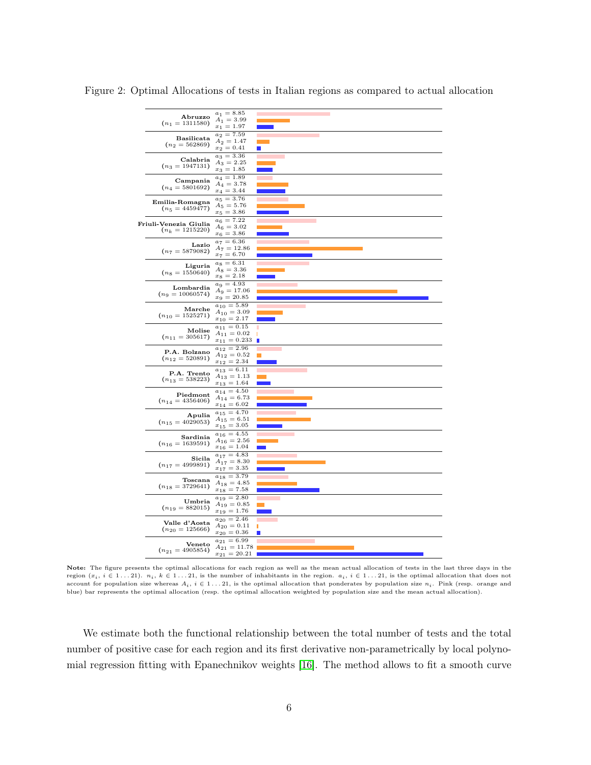<span id="page-6-0"></span>

|  | Abruzzo<br>$(n_1 = 1311580)$               | $a_1 = 8.85$<br>$A_1 = 3.99$                            |        |
|--|--------------------------------------------|---------------------------------------------------------|--------|
|  | Basilicata                                 | $x_1 = 1.97$<br>$a_2 = 7.59$                            |        |
|  | $(n_2 = 562869)$                           | $A_2 = 1.47$<br>$x_2 = 0.41$                            |        |
|  | Calabria<br>$(n_3 = 1947131)$              | $a_3 = 3.36$<br>$A_3 = 2.25$<br>$x_3 = 1.85$            |        |
|  | Campania<br>$(n_4 = 5801692)$              | $a_4 = 1.89$<br>$A_4 = 3.78$                            |        |
|  | Emilia-Romagna                             | $x_4 = 3.44$<br>$a_5 = 3.76$                            |        |
|  | $(n_5 = 4459477)$                          | $A_5 = 5.76$<br>$x_5 = 3.86$                            |        |
|  | Friuli-Venezia Giulia<br>$(n_k = 1215220)$ | $a_6 = 7.22$<br>$A_6 = 3.02$<br>$x_6 = 3.86$            |        |
|  | Lazio<br>$(n_7 = 5879082)$                 | $a_7 = 6.36$<br>$A_7 = 12.86$<br>$x_7 = 6.70$           |        |
|  | Liguria<br>$(n_8 = 1550640)$               | $a_8 = 6.31$<br>$A_8 = 3.36$<br>$x_8 = 2.18$            |        |
|  | Lombardia<br>$(n_9 = 10060574)$            | $a_9 = 4.93$<br>$A_9 = 17.06$<br>$x_9 = 20.85$          |        |
|  | Marche<br>$(n_{10} = 1525271)$             | $a_{10} = 5.89$<br>$A_{10} = 3.09$<br>$x_{10} = 2.17$   |        |
|  | Molise<br>$(n_{11}=305617)$                | $a_{11} = 0.15$<br>$A_{11} = 0.02$<br>$x_{11} = 0.233$  | т<br>п |
|  | P.A. Bolzano<br>$(n_{12}=520891)$          | $a_{12} = 2.96$<br>$A_{12} = 0.52$<br>$x_{12} = 2.34$   |        |
|  | P.A. Trento<br>$(n_{13}=538223)$           | $a_{13} = 6.11$<br>$A_{13} = 1.13$<br>$x_{13} = 1.64$   |        |
|  | Piedmont<br>$(n_{14} = 4356406)$           | $a_{14} = 4.50$<br>$A_{14} = 6.73$<br>$x_{14} = 6.02$   |        |
|  | Apulia<br>$(n_{15} = 4029053)$             | $a_{15} = 4.70$<br>$A_{15} = 6.51$<br>$x_{15} = 3.05$   |        |
|  | Sardinia<br>$(n_{16}=1639591)$             | $a_{16} = 4.55$<br>$A_{16} = 2.56$<br>$x_{16} = 1.04$   |        |
|  | Sicila<br>$(n_{17} = 4999891)$             | $a_{17} = 4.83$<br>$A_{17} = 8.30$<br>$x_{17} = 3.35$   |        |
|  | Toscana<br>$(n_{18} = 3729641)$            | $a_{18} = 3.79$<br>$A_{18} = 4.85$<br>$x_{18} = 7.58$   |        |
|  | Umbria<br>$(n_{19} = 882015)$              | $a_{19} = 2.80$<br>$A_{19} = 0.85$<br>$x_{19} = 1.76$   |        |
|  | Valle d'Aosta<br>$(n_{20}=125666)$         | $a_{20} = 2.46$<br>$A_{20} = 0.11$<br>$x_{20} = 0.36$   | п<br>п |
|  | Veneto<br>$(n_{21}=4905854)$               | $a_{21} = 6.99$<br>$A_{21} = 11.78$<br>$x_{21} = 20.21$ |        |

Figure 2: Optimal Allocations of tests in Italian regions as compared to actual allocation

Note: The figure presents the optimal allocations for each region as well as the mean actual allocation of tests in the last three days in the region  $(x_i, i \in 1...21)$ .  $n_i, k \in 1...21$ , is the number of inhabitants in the region.  $a_i, i \in 1...21$ , is the optimal allocation that does not account for population size whereas  $A_i$ ,  $i \in 1...21$ , is the optimal allocation that ponderates by population size  $n_i$ . Pink (resp. orange and blue) bar represents the optimal allocation (resp. the optimal allocation weighted by population size and the mean actual allocation).

We estimate both the functional relationship between the total number of tests and the total number of positive case for each region and its first derivative non-parametrically by local polynomial regression fitting with Epanechnikov weights [\[16\]](#page-10-4). The method allows to fit a smooth curve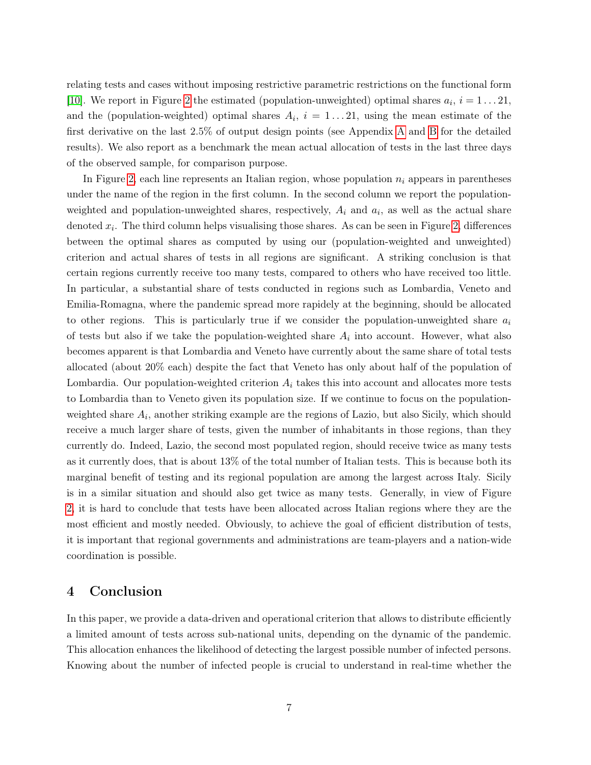relating tests and cases without imposing restrictive parametric restrictions on the functional form [\[10\]](#page-9-5). We report in Figure [2](#page-6-0) the estimated (population-unweighted) optimal shares  $a_i$ ,  $i = 1...21$ , and the (population-weighted) optimal shares  $A_i$ ,  $i = 1...21$ , using the mean estimate of the first derivative on the last 2.5% of output design points (see Appendix [A](#page-11-0) and [B](#page-16-0) for the detailed results). We also report as a benchmark the mean actual allocation of tests in the last three days of the observed sample, for comparison purpose.

In Figure [2,](#page-6-0) each line represents an Italian region, whose population  $n_i$  appears in parentheses under the name of the region in the first column. In the second column we report the populationweighted and population-unweighted shares, respectively,  $A_i$  and  $a_i$ , as well as the actual share denoted  $x_i$ . The third column helps visualising those shares. As can be seen in Figure [2,](#page-6-0) differences between the optimal shares as computed by using our (population-weighted and unweighted) criterion and actual shares of tests in all regions are significant. A striking conclusion is that certain regions currently receive too many tests, compared to others who have received too little. In particular, a substantial share of tests conducted in regions such as Lombardia, Veneto and Emilia-Romagna, where the pandemic spread more rapidely at the beginning, should be allocated to other regions. This is particularly true if we consider the population-unweighted share  $a_i$ of tests but also if we take the population-weighted share  $A_i$  into account. However, what also becomes apparent is that Lombardia and Veneto have currently about the same share of total tests allocated (about 20% each) despite the fact that Veneto has only about half of the population of Lombardia. Our population-weighted criterion  $A_i$  takes this into account and allocates more tests to Lombardia than to Veneto given its population size. If we continue to focus on the populationweighted share  $A_i$ , another striking example are the regions of Lazio, but also Sicily, which should receive a much larger share of tests, given the number of inhabitants in those regions, than they currently do. Indeed, Lazio, the second most populated region, should receive twice as many tests as it currently does, that is about 13% of the total number of Italian tests. This is because both its marginal benefit of testing and its regional population are among the largest across Italy. Sicily is in a similar situation and should also get twice as many tests. Generally, in view of Figure [2,](#page-6-0) it is hard to conclude that tests have been allocated across Italian regions where they are the most efficient and mostly needed. Obviously, to achieve the goal of efficient distribution of tests, it is important that regional governments and administrations are team-players and a nation-wide coordination is possible.

### 4 Conclusion

In this paper, we provide a data-driven and operational criterion that allows to distribute efficiently a limited amount of tests across sub-national units, depending on the dynamic of the pandemic. This allocation enhances the likelihood of detecting the largest possible number of infected persons. Knowing about the number of infected people is crucial to understand in real-time whether the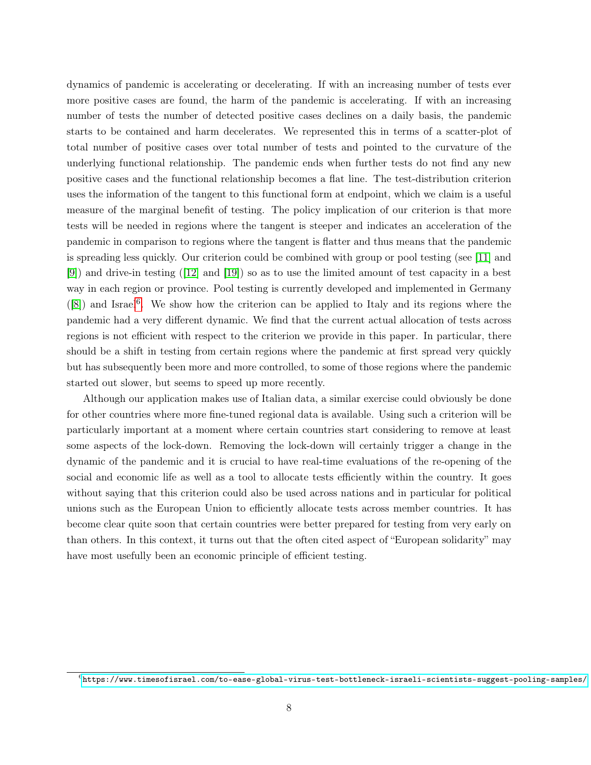dynamics of pandemic is accelerating or decelerating. If with an increasing number of tests ever more positive cases are found, the harm of the pandemic is accelerating. If with an increasing number of tests the number of detected positive cases declines on a daily basis, the pandemic starts to be contained and harm decelerates. We represented this in terms of a scatter-plot of total number of positive cases over total number of tests and pointed to the curvature of the underlying functional relationship. The pandemic ends when further tests do not find any new positive cases and the functional relationship becomes a flat line. The test-distribution criterion uses the information of the tangent to this functional form at endpoint, which we claim is a useful measure of the marginal benefit of testing. The policy implication of our criterion is that more tests will be needed in regions where the tangent is steeper and indicates an acceleration of the pandemic in comparison to regions where the tangent is flatter and thus means that the pandemic is spreading less quickly. Our criterion could be combined with group or pool testing (see [\[11\]](#page-10-5) and [\[9\]](#page-9-6)) and drive-in testing ([\[12\]](#page-10-6) and [\[19\]](#page-10-7)) so as to use the limited amount of test capacity in a best way in each region or province. Pool testing is currently developed and implemented in Germany  $(8)$  and Israel<sup>[6](#page-8-0)</sup>. We show how the criterion can be applied to Italy and its regions where the pandemic had a very different dynamic. We find that the current actual allocation of tests across regions is not efficient with respect to the criterion we provide in this paper. In particular, there should be a shift in testing from certain regions where the pandemic at first spread very quickly but has subsequently been more and more controlled, to some of those regions where the pandemic started out slower, but seems to speed up more recently.

Although our application makes use of Italian data, a similar exercise could obviously be done for other countries where more fine-tuned regional data is available. Using such a criterion will be particularly important at a moment where certain countries start considering to remove at least some aspects of the lock-down. Removing the lock-down will certainly trigger a change in the dynamic of the pandemic and it is crucial to have real-time evaluations of the re-opening of the social and economic life as well as a tool to allocate tests efficiently within the country. It goes without saying that this criterion could also be used across nations and in particular for political unions such as the European Union to efficiently allocate tests across member countries. It has become clear quite soon that certain countries were better prepared for testing from very early on than others. In this context, it turns out that the often cited aspect of "European solidarity" may have most usefully been an economic principle of efficient testing.

<span id="page-8-0"></span> $^6$ <https://www.timesofisrael.com/to-ease-global-virus-test-bottleneck-israeli-scientists-suggest-pooling-samples/>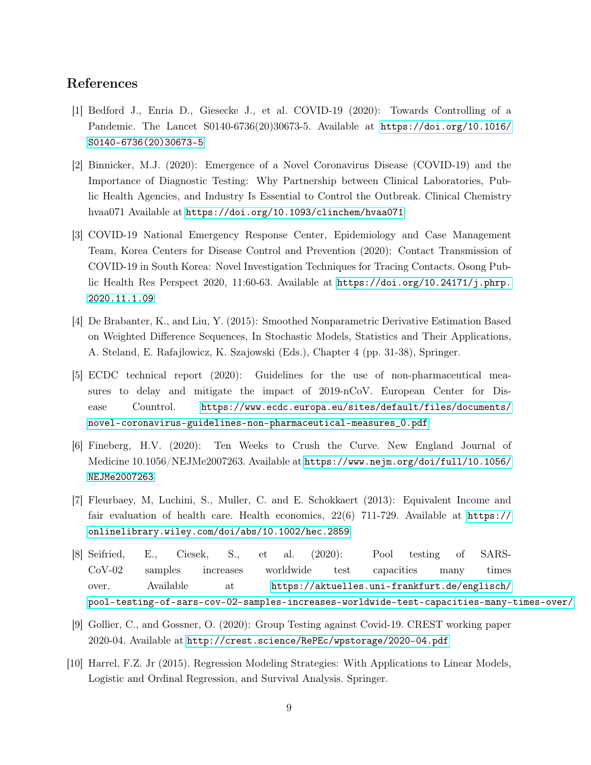### References

- <span id="page-9-0"></span>[1] Bedford J., Enria D., Giesecke J., et al. COVID-19 (2020): Towards Controlling of a Pandemic. The Lancet S0140-6736(20)30673-5. Available at [https://doi.org/10.1016/](https://doi.org/10.1016/S0140-6736(20)30673-5) [S0140-6736\(20\)30673-5](https://doi.org/10.1016/S0140-6736(20)30673-5)
- <span id="page-9-1"></span>[2] Binnicker, M.J. (2020): Emergence of a Novel Coronavirus Disease (COVID-19) and the Importance of Diagnostic Testing: Why Partnership between Clinical Laboratories, Public Health Agencies, and Industry Is Essential to Control the Outbreak. Clinical Chemistry hvaa071 Available at <https://doi.org/10.1093/clinchem/hvaa071>
- <span id="page-9-3"></span>[3] COVID-19 National Emergency Response Center, Epidemiology and Case Management Team, Korea Centers for Disease Control and Prevention (2020): Contact Transmission of COVID-19 in South Korea: Novel Investigation Techniques for Tracing Contacts. Osong Public Health Res Perspect 2020, 11:60-63. Available at [https://doi.org/10.24171/j.phrp.](https://doi.org/10.24171/j.phrp.2020.11.1.09) [2020.11.1.09](https://doi.org/10.24171/j.phrp.2020.11.1.09)
- [4] De Brabanter, K., and Liu, Y. (2015): Smoothed Nonparametric Derivative Estimation Based on Weighted Difference Sequences, In Stochastic Models, Statistics and Their Applications, A. Steland, E. Rafajlowicz, K. Szajowski (Eds.), Chapter 4 (pp. 31-38), Springer.
- [5] ECDC technical report (2020): Guidelines for the use of non-pharmaceutical measures to delay and mitigate the impact of 2019-nCoV. European Center for Disease Countrol. [https://www.ecdc.europa.eu/sites/default/files/documents/](https://www.ecdc.europa.eu/sites/default/files/documents/novel-coronavirus-guidelines-non-pharmaceutical-measures_0.pdf) [novel-coronavirus-guidelines-non-pharmaceutical-measures\\_0.pdf](https://www.ecdc.europa.eu/sites/default/files/documents/novel-coronavirus-guidelines-non-pharmaceutical-measures_0.pdf)
- <span id="page-9-2"></span>[6] Fineberg, H.V. (2020): Ten Weeks to Crush the Curve. New England Journal of Medicine 10.1056/NEJMe2007263. Available at [https://www.nejm.org/doi/full/10.1056/](https://www.nejm.org/doi/full/10.1056/NEJMe2007263) [NEJMe2007263](https://www.nejm.org/doi/full/10.1056/NEJMe2007263)
- <span id="page-9-4"></span>[7] Fleurbaey, M, Luchini, S., Muller, C. and E. Schokkaert (2013): Equivalent Income and fair evaluation of health care. Health economics,  $22(6)$  711-729. Available at [https://](https://onlinelibrary.wiley.com/doi/abs/10.1002/hec.2859) [onlinelibrary.wiley.com/doi/abs/10.1002/hec.2859](https://onlinelibrary.wiley.com/doi/abs/10.1002/hec.2859)
- <span id="page-9-7"></span>[8] Seifried, E., Ciesek, S., et al. (2020): Pool testing of SARS-CoV-02 samples increases worldwide test capacities many times over. Available at [https://aktuelles.uni-frankfurt.de/englisch/](https://aktuelles.uni-frankfurt.de/englisch/pool-testing-of-sars-cov -02-samples-increases-worldwide-test-capacities-many-times-over/) [pool-testing-of-sars-cov-02-samples-increases-worldwide-test-capacities-many-times-over/](https://aktuelles.uni-frankfurt.de/englisch/pool-testing-of-sars-cov -02-samples-increases-worldwide-test-capacities-many-times-over/)
- <span id="page-9-6"></span>[9] Gollier, C., and Gossner, O. (2020): Group Testing against Covid-19. CREST working paper 2020-04. Available at <http://crest.science/RePEc/wpstorage/2020-04.pdf>
- <span id="page-9-5"></span>[10] Harrel, F.Z. Jr (2015). Regression Modeling Strategies: With Applications to Linear Models, Logistic and Ordinal Regression, and Survival Analysis. Springer.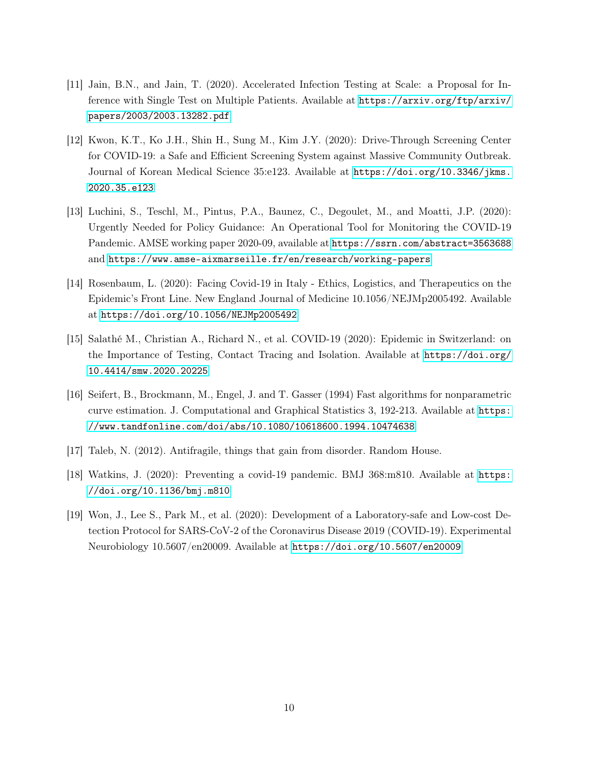- <span id="page-10-5"></span>[11] Jain, B.N., and Jain, T. (2020). Accelerated Infection Testing at Scale: a Proposal for Inference with Single Test on Multiple Patients. Available at [https://arxiv.org/ftp/arxiv/](https://arxiv.org/ftp/arxiv/papers/2003/2003.13282.pdf) [papers/2003/2003.13282.pdf](https://arxiv.org/ftp/arxiv/papers/2003/2003.13282.pdf)
- <span id="page-10-6"></span>[12] Kwon, K.T., Ko J.H., Shin H., Sung M., Kim J.Y. (2020): Drive-Through Screening Center for COVID-19: a Safe and Efficient Screening System against Massive Community Outbreak. Journal of Korean Medical Science 35:e123. Available at [https://doi.org/10.3346/jkms.](https://doi.org/10.3346/jkms.2020.35.e123) [2020.35.e123](https://doi.org/10.3346/jkms.2020.35.e123)
- <span id="page-10-2"></span>[13] Luchini, S., Teschl, M., Pintus, P.A., Baunez, C., Degoulet, M., and Moatti, J.P. (2020): Urgently Needed for Policy Guidance: An Operational Tool for Monitoring the COVID-19 Pandemic. AMSE working paper 2020-09, available at <https://ssrn.com/abstract=3563688> and <https://www.amse-aixmarseille.fr/en/research/working-papers>
- <span id="page-10-1"></span>[14] Rosenbaum, L. (2020): Facing Covid-19 in Italy - Ethics, Logistics, and Therapeutics on the Epidemic's Front Line. New England Journal of Medicine 10.1056/NEJMp2005492. Available at <https://doi.org/10.1056/NEJMp2005492>
- <span id="page-10-0"></span>[15] Salathé M., Christian A., Richard N., et al. COVID-19 (2020): Epidemic in Switzerland: on the Importance of Testing, Contact Tracing and Isolation. Available at [https://doi.org/](https://doi.org/10.4414/smw.2020.20225) [10.4414/smw.2020.20225](https://doi.org/10.4414/smw.2020.20225)
- <span id="page-10-4"></span>[16] Seifert, B., Brockmann, M., Engel, J. and T. Gasser (1994) Fast algorithms for nonparametric curve estimation. J. Computational and Graphical Statistics 3, 192-213. Available at [https:](https://www.tandfonline.com/doi/abs/10.1080/10618600.1994.10474638) [//www.tandfonline.com/doi/abs/10.1080/10618600.1994.10474638](https://www.tandfonline.com/doi/abs/10.1080/10618600.1994.10474638)
- <span id="page-10-3"></span>[17] Taleb, N. (2012). Antifragile, things that gain from disorder. Random House.
- [18] Watkins, J. (2020): Preventing a covid-19 pandemic. BMJ 368:m810. Available at [https:](https://doi.org/10.1136/bmj.m810) [//doi.org/10.1136/bmj.m810](https://doi.org/10.1136/bmj.m810)
- <span id="page-10-7"></span>[19] Won, J., Lee S., Park M., et al. (2020): Development of a Laboratory-safe and Low-cost Detection Protocol for SARS-CoV-2 of the Coronavirus Disease 2019 (COVID-19). Experimental Neurobiology 10.5607/en20009. Available at <https://doi.org/10.5607/en20009>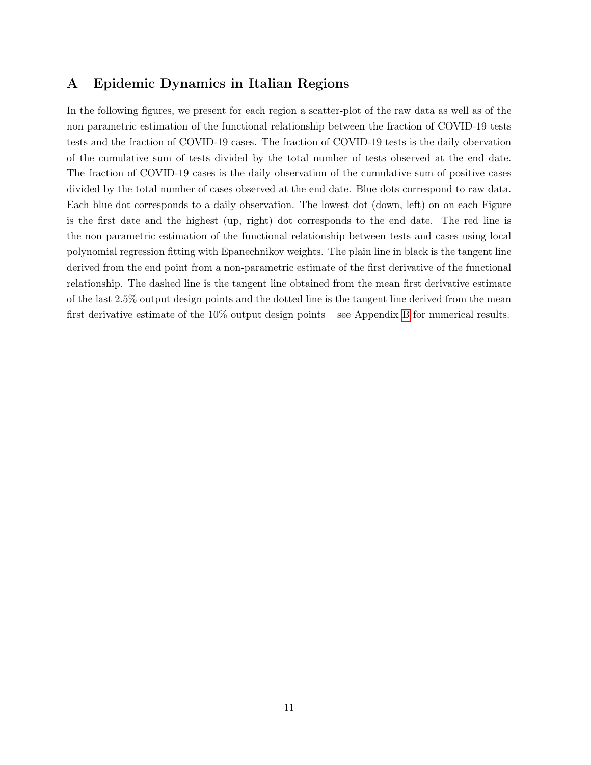## <span id="page-11-0"></span>A Epidemic Dynamics in Italian Regions

In the following figures, we present for each region a scatter-plot of the raw data as well as of the non parametric estimation of the functional relationship between the fraction of COVID-19 tests tests and the fraction of COVID-19 cases. The fraction of COVID-19 tests is the daily obervation of the cumulative sum of tests divided by the total number of tests observed at the end date. The fraction of COVID-19 cases is the daily observation of the cumulative sum of positive cases divided by the total number of cases observed at the end date. Blue dots correspond to raw data. Each blue dot corresponds to a daily observation. The lowest dot (down, left) on on each Figure is the first date and the highest (up, right) dot corresponds to the end date. The red line is the non parametric estimation of the functional relationship between tests and cases using local polynomial regression fitting with Epanechnikov weights. The plain line in black is the tangent line derived from the end point from a non-parametric estimate of the first derivative of the functional relationship. The dashed line is the tangent line obtained from the mean first derivative estimate of the last 2.5% output design points and the dotted line is the tangent line derived from the mean first derivative estimate of the 10% output design points – see Appendix [B](#page-16-0) for numerical results.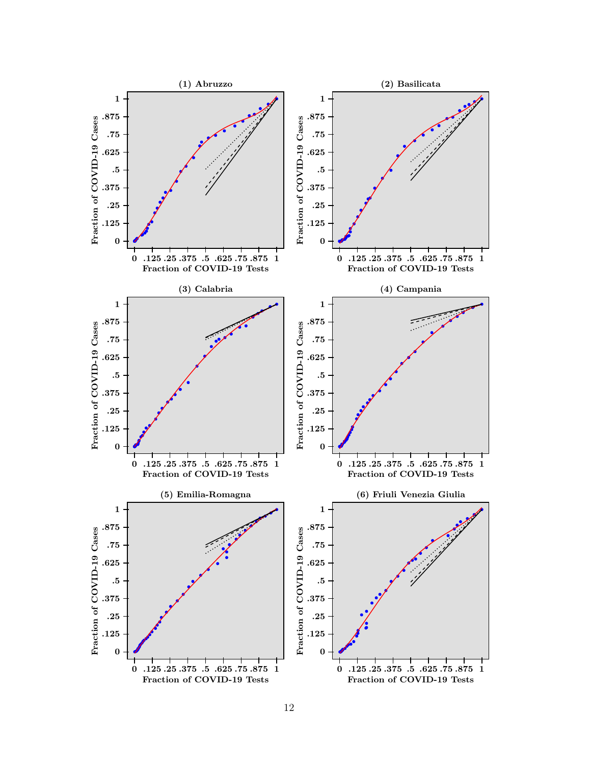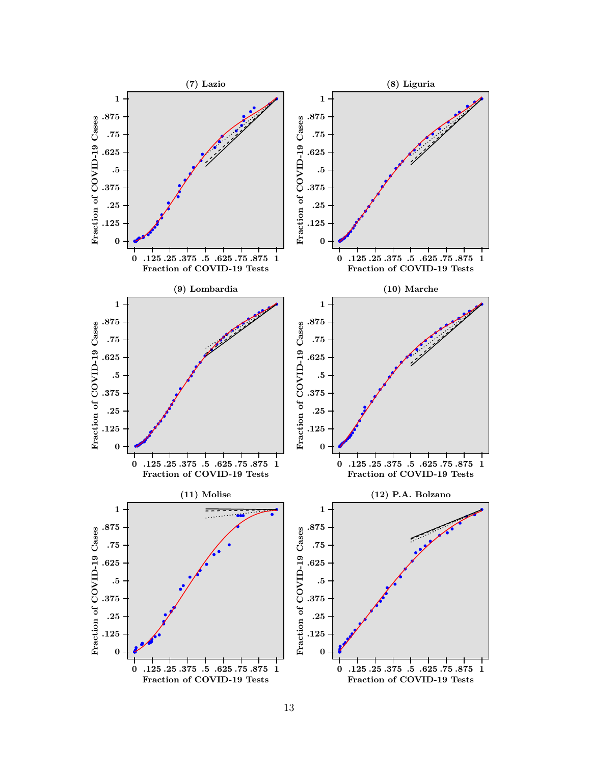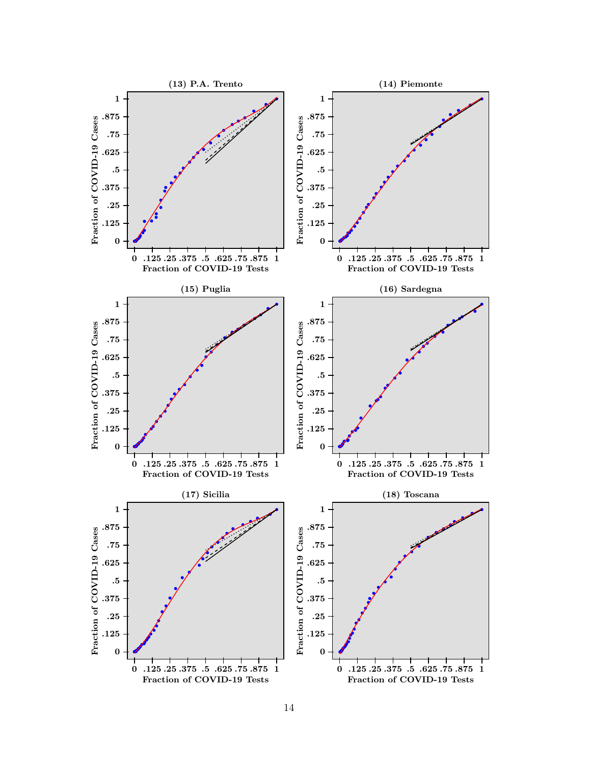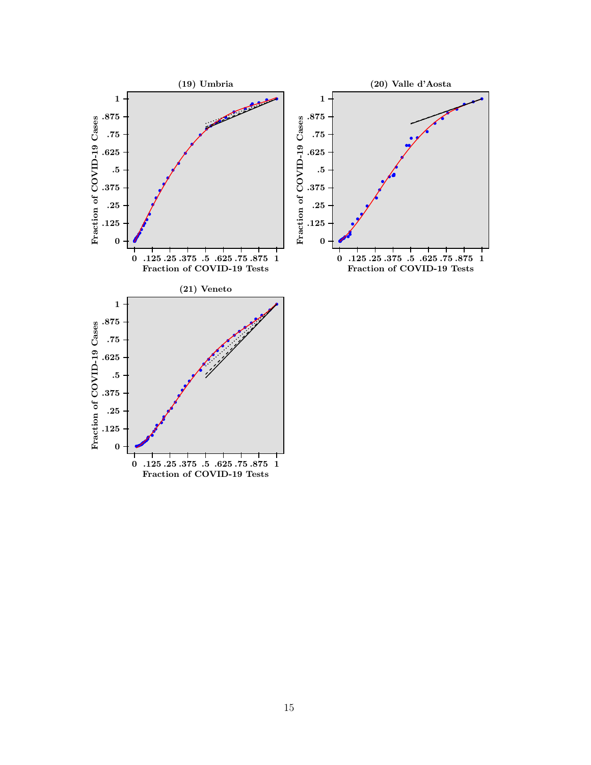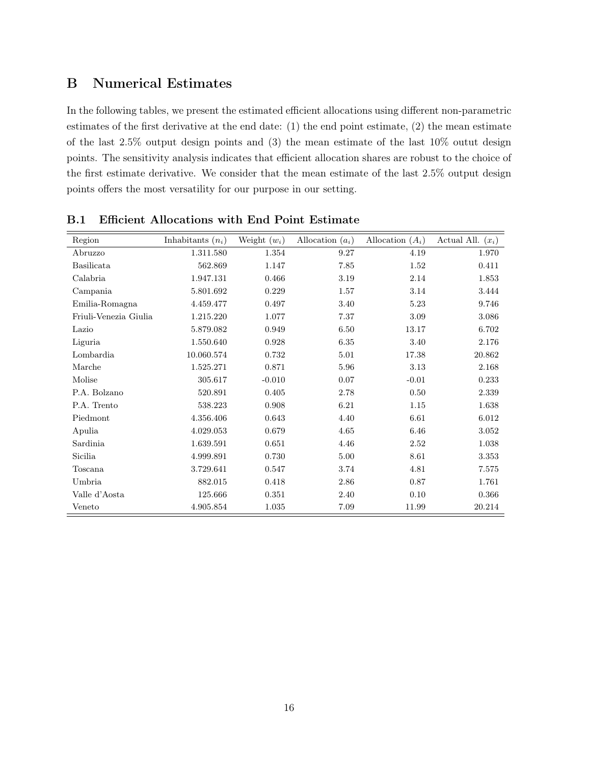# <span id="page-16-0"></span>B Numerical Estimates

In the following tables, we present the estimated efficient allocations using different non-parametric estimates of the first derivative at the end date: (1) the end point estimate, (2) the mean estimate of the last 2.5% output design points and (3) the mean estimate of the last 10% outut design points. The sensitivity analysis indicates that efficient allocation shares are robust to the choice of the first estimate derivative. We consider that the mean estimate of the last 2.5% output design points offers the most versatility for our purpose in our setting.

| Region                | Inhabitants $(n_i)$ | Weight $(w_i)$ | Allocation $(a_i)$ | Allocation $(A_i)$ | Actual All. $(x_i)$ |
|-----------------------|---------------------|----------------|--------------------|--------------------|---------------------|
| Abruzzo               | 1.311.580           | 1.354          | 9.27               | 4.19               | 1.970               |
| Basilicata            | 562.869             | 1.147          | 7.85               | 1.52               | 0.411               |
| Calabria              | 1.947.131           | 0.466          | 3.19               | 2.14               | 1.853               |
| Campania              | 5.801.692           | 0.229          | 1.57               | 3.14               | 3.444               |
| Emilia-Romagna        | 4.459.477           | 0.497          | 3.40               | 5.23               | 9.746               |
| Friuli-Venezia Giulia | 1.215.220           | 1.077          | 7.37               | 3.09               | 3.086               |
| Lazio                 | 5.879.082           | 0.949          | 6.50               | 13.17              | 6.702               |
| Liguria               | 1.550.640           | 0.928          | 6.35               | 3.40               | 2.176               |
| Lombardia             | 10.060.574          | 0.732          | 5.01               | 17.38              | 20.862              |
| Marche                | 1.525.271           | 0.871          | 5.96               | 3.13               | 2.168               |
| Molise                | 305.617             | $-0.010$       | 0.07               | $-0.01$            | 0.233               |
| P.A. Bolzano          | 520.891             | 0.405          | 2.78               | 0.50               | 2.339               |
| P.A. Trento           | 538.223             | 0.908          | 6.21               | 1.15               | 1.638               |
| Piedmont              | 4.356.406           | 0.643          | 4.40               | 6.61               | 6.012               |
| Apulia                | 4.029.053           | 0.679          | 4.65               | 6.46               | 3.052               |
| Sardinia              | 1.639.591           | 0.651          | 4.46               | 2.52               | 1.038               |
| Sicilia               | 4.999.891           | 0.730          | 5.00               | 8.61               | 3.353               |
| Toscana               | 3.729.641           | 0.547          | 3.74               | 4.81               | 7.575               |
| Umbria                | 882.015             | 0.418          | 2.86               | 0.87               | 1.761               |
| Valle d'Aosta         | 125.666             | 0.351          | 2.40               | 0.10               | 0.366               |
| Veneto                | 4.905.854           | 1.035          | 7.09               | 11.99              | 20.214              |

B.1 Efficient Allocations with End Point Estimate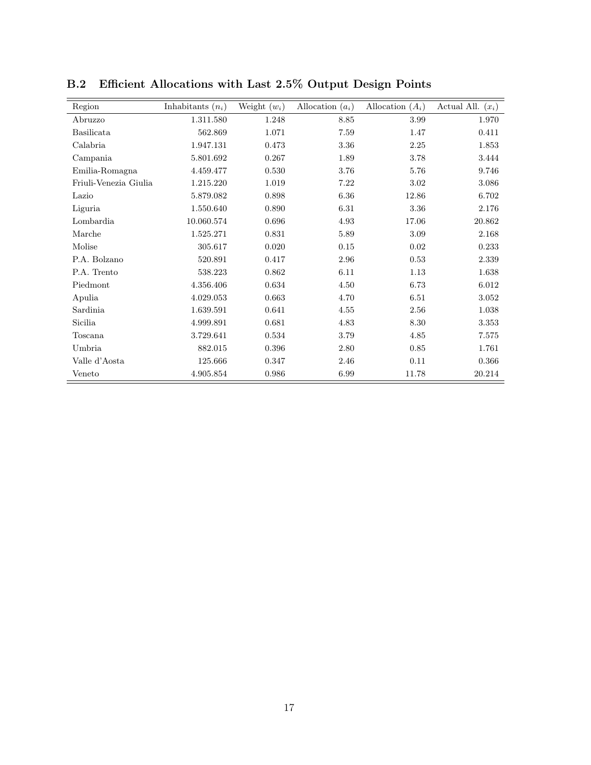| Region                | Inhabitants $(n_i)$ | Weight $(w_i)$ | Allocation $(a_i)$ | Allocation $(A_i)$ | Actual All. $(x_i)$ |
|-----------------------|---------------------|----------------|--------------------|--------------------|---------------------|
| Abruzzo               | 1.311.580           | 1.248          | 8.85               | 3.99               | 1.970               |
| Basilicata            | 562.869             | 1.071          | 7.59               | 1.47               | 0.411               |
| Calabria              | 1.947.131           | 0.473          | 3.36               | 2.25               | 1.853               |
| Campania              | 5.801.692           | 0.267          | 1.89               | 3.78               | 3.444               |
| Emilia-Romagna        | 4.459.477           | 0.530          | 3.76               | 5.76               | 9.746               |
| Friuli-Venezia Giulia | 1.215.220           | 1.019          | 7.22               | 3.02               | 3.086               |
| Lazio                 | 5.879.082           | 0.898          | 6.36               | 12.86              | 6.702               |
| Liguria               | 1.550.640           | 0.890          | $6.31\,$           | $3.36\,$           | 2.176               |
| Lombardia             | 10.060.574          | 0.696          | 4.93               | 17.06              | 20.862              |
| Marche                | 1.525.271           | 0.831          | 5.89               | 3.09               | 2.168               |
| Molise                | 305.617             | 0.020          | $0.15\,$           | 0.02               | 0.233               |
| P.A. Bolzano          | 520.891             | 0.417          | 2.96               | 0.53               | 2.339               |
| P.A. Trento           | 538.223             | 0.862          | 6.11               | 1.13               | 1.638               |
| Piedmont              | 4.356.406           | 0.634          | 4.50               | 6.73               | 6.012               |
| Apulia                | 4.029.053           | 0.663          | 4.70               | 6.51               | 3.052               |
| Sardinia              | 1.639.591           | 0.641          | 4.55               | 2.56               | 1.038               |
| Sicilia               | 4.999.891           | 0.681          | 4.83               | 8.30               | 3.353               |
| Toscana               | 3.729.641           | 0.534          | 3.79               | 4.85               | 7.575               |
| Umbria                | 882.015             | 0.396          | 2.80               | 0.85               | 1.761               |
| Valle d'Aosta         | 125.666             | 0.347          | 2.46               | 0.11               | 0.366               |
| Veneto                | 4.905.854           | 0.986          | 6.99               | 11.78              | 20.214              |

B.2 Efficient Allocations with Last 2.5% Output Design Points